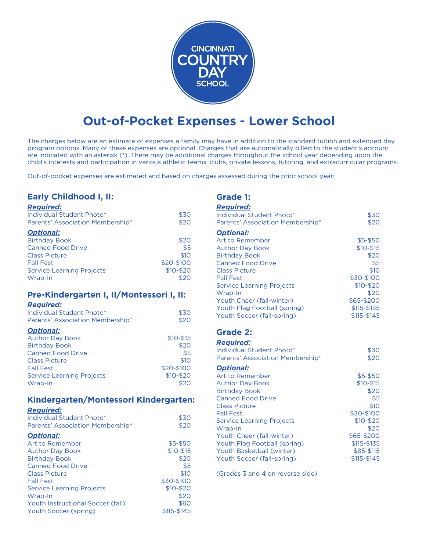

# **Out-of-Pocket Expenses - Lower School**

The charges below are an estimate of expenses a family may have in addition to the standard tuition and extended day program options. Many of these expenses are optional. Charges that are automatically billed to the student's account are indicated with an asterisk (\*). There may be additional charges throughout the school year depending upon the child's interests and participation in various athletic teams, clubs, private lessons, tutoring, and extracurricular programs.

Out-of-pocket expenses are estimated and based on charges assessed during the prior school year:

# **Early Childhood I, II:**

#### *Required:*

| Individual Student Photo*        | \$30        |
|----------------------------------|-------------|
| Parents' Association Membership* | \$20        |
| <b>Optional:</b>                 |             |
| <b>Birthday Book</b>             | \$20        |
| <b>Canned Food Drive</b>         | \$5         |
| <b>Class Picture</b>             | \$10        |
| <b>Fall Fest</b>                 | \$20-\$100  |
| <b>Service Learning Projects</b> | $$10 - $20$ |
| Wrap-In                          | \$20        |

## **Pre-Kindergarten I, II/Montessori I, II:**

#### *Required:*

| Individual Student Photo*        | \$30        |
|----------------------------------|-------------|
| Parents' Association Membership* | \$20        |
| <b>Optional:</b>                 |             |
| <b>Author Day Book</b>           | $$10 - $15$ |
| <b>Birthday Book</b>             | \$20        |
| <b>Canned Food Drive</b>         | \$5         |
| <b>Class Picture</b>             | \$10        |
| <b>Fall Fest</b>                 | \$20-\$100  |
| <b>Service Learning Projects</b> | $$10 - $20$ |
| Wrap-In                          | \$20        |

# **Kindergarten/Montessori Kindergarten:**

#### *Required:*

| . <u>.</u><br>Individual Student Photo*<br>Parents' Association Membership* | \$30<br>\$20 |
|-----------------------------------------------------------------------------|--------------|
| <b>Optional:</b>                                                            |              |
| Art to Remember                                                             | $$5-$50$     |
| <b>Author Day Book</b>                                                      | $$10 - $15$  |
| <b>Birthday Book</b>                                                        | \$20         |
| <b>Canned Food Drive</b>                                                    | \$5          |
| <b>Class Picture</b>                                                        | \$10         |
| <b>Fall Fest</b>                                                            | \$30-\$100   |
| <b>Service Learning Projects</b>                                            | $$10 - $20$  |
| Wrap-In                                                                     | \$20         |
| Youth Instructional Soccer (fall)                                           | \$60         |
| Youth Soccer (spring)                                                       | \$115-\$145  |

## **Grade 1:**

| <b>Required:</b>                 |             |
|----------------------------------|-------------|
| Individual Student Photo*        | \$30        |
| Parents' Association Membership* | \$20        |
| <b>Optional:</b>                 |             |
| <b>Art to Remember</b>           | \$5-\$50    |
| <b>Author Day Book</b>           | $$10 - $15$ |
| <b>Birthday Book</b>             | \$20        |
| <b>Canned Food Drive</b>         | \$5         |
| <b>Class Picture</b>             | \$10        |
| <b>Fall Fest</b>                 | \$30-\$100  |
| <b>Service Learning Projects</b> | $$10 - $20$ |
| Wrap-In                          | \$20        |
| Youth Cheer (fall-winter)        | \$65-\$200  |
| Youth Flag Football (spring)     | \$115-\$135 |
| Youth Soccer (fall-spring)       | \$115-\$145 |
| <b>Grade 2:</b>                  |             |
| <b>Required:</b>                 |             |
| Individual Student Photo*        | \$30        |
| Parents' Association Membership* | \$20        |
| <b>Optional:</b>                 |             |
| Art to Remember                  | $$5 - $50$  |
| <b>Author Day Book</b>           | $$10 - $15$ |
| <b>Birthday Book</b>             | \$20        |
| <b>Canned Food Drive</b>         | \$5         |
| <b>Class Picture</b>             | \$10        |
| <b>Fall Fest</b>                 | \$30-\$100  |
| <b>Service Learning Projects</b> | $$10 - $20$ |
| Wrap-In                          | \$20        |
| Youth Cheer (fall-winter)        | \$65-\$200  |
| Youth Flag Football (spring)     | \$115-\$135 |
| Youth Basketball (winter)        | \$85-\$115  |
| Youth Soccer (fall-spring)       | \$115-\$145 |

(Grades 3 and 4 on reverse side)